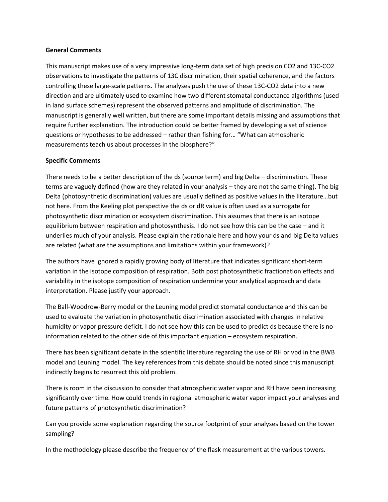## **General Comments**

This manuscript makes use of a very impressive long-term data set of high precision CO2 and 13C-CO2 observations to investigate the patterns of 13C discrimination, their spatial coherence, and the factors controlling these large-scale patterns. The analyses push the use of these 13C-CO2 data into a new direction and are ultimately used to examine how two different stomatal conductance algorithms (used in land surface schemes) represent the observed patterns and amplitude of discrimination. The manuscript is generally well written, but there are some important details missing and assumptions that require further explanation. The introduction could be better framed by developing a set of science questions or hypotheses to be addressed – rather than fishing for… "What can atmospheric measurements teach us about processes in the biosphere?"

## **Specific Comments**

There needs to be a better description of the ds (source term) and big Delta – discrimination. These terms are vaguely defined (how are they related in your analysis – they are not the same thing). The big Delta (photosynthetic discrimination) values are usually defined as positive values in the literature…but not here. From the Keeling plot perspective the ds or dR value is often used as a surrogate for photosynthetic discrimination or ecosystem discrimination. This assumes that there is an isotope equilibrium between respiration and photosynthesis. I do not see how this can be the case – and it underlies much of your analysis. Please explain the rationale here and how your ds and big Delta values are related (what are the assumptions and limitations within your framework)?

The authors have ignored a rapidly growing body of literature that indicates significant short-term variation in the isotope composition of respiration. Both post photosynthetic fractionation effects and variability in the isotope composition of respiration undermine your analytical approach and data interpretation. Please justify your approach.

The Ball-Woodrow-Berry model or the Leuning model predict stomatal conductance and this can be used to evaluate the variation in photosynthetic discrimination associated with changes in relative humidity or vapor pressure deficit. I do not see how this can be used to predict ds because there is no information related to the other side of this important equation – ecosystem respiration.

There has been significant debate in the scientific literature regarding the use of RH or vpd in the BWB model and Leuning model. The key references from this debate should be noted since this manuscript indirectly begins to resurrect this old problem.

There is room in the discussion to consider that atmospheric water vapor and RH have been increasing significantly over time. How could trends in regional atmospheric water vapor impact your analyses and future patterns of photosynthetic discrimination?

Can you provide some explanation regarding the source footprint of your analyses based on the tower sampling?

In the methodology please describe the frequency of the flask measurement at the various towers.